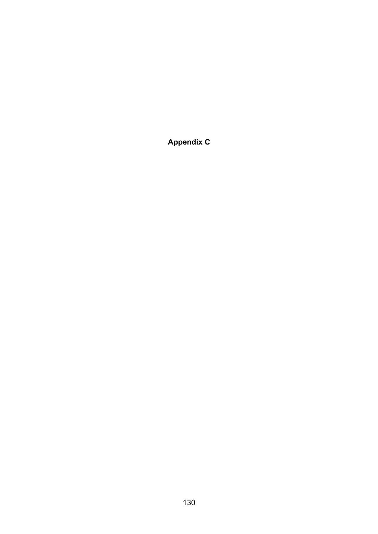**Appendix C**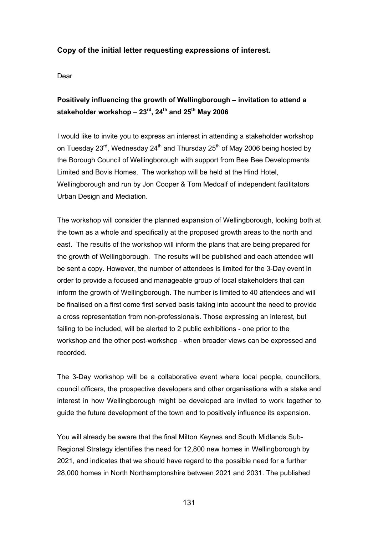### **Copy of the initial letter requesting expressions of interest.**

Dear

## **Positively influencing the growth of Wellingborough – invitation to attend a stakeholder workshop** – **23rd, 24th and 25th May 2006**

I would like to invite you to express an interest in attending a stakeholder workshop on Tuesday 23<sup>rd</sup>, Wednesday 24<sup>th</sup> and Thursday 25<sup>th</sup> of May 2006 being hosted by the Borough Council of Wellingborough with support from Bee Bee Developments Limited and Bovis Homes. The workshop will be held at the Hind Hotel, Wellingborough and run by Jon Cooper & Tom Medcalf of independent facilitators Urban Design and Mediation.

The workshop will consider the planned expansion of Wellingborough, looking both at the town as a whole and specifically at the proposed growth areas to the north and east. The results of the workshop will inform the plans that are being prepared for the growth of Wellingborough. The results will be published and each attendee will be sent a copy. However, the number of attendees is limited for the 3-Day event in order to provide a focused and manageable group of local stakeholders that can inform the growth of Wellingborough. The number is limited to 40 attendees and will be finalised on a first come first served basis taking into account the need to provide a cross representation from non-professionals. Those expressing an interest, but failing to be included, will be alerted to 2 public exhibitions - one prior to the workshop and the other post-workshop - when broader views can be expressed and recorded.

The 3-Day workshop will be a collaborative event where local people, councillors, council officers, the prospective developers and other organisations with a stake and interest in how Wellingborough might be developed are invited to work together to guide the future development of the town and to positively influence its expansion.

You will already be aware that the final Milton Keynes and South Midlands Sub-Regional Strategy identifies the need for 12,800 new homes in Wellingborough by 2021, and indicates that we should have regard to the possible need for a further 28,000 homes in North Northamptonshire between 2021 and 2031. The published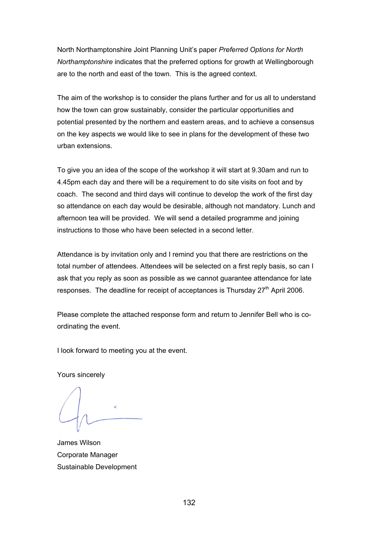North Northamptonshire Joint Planning Unit's paper *Preferred Options for North Northamptonshire* indicates that the preferred options for growth at Wellingborough are to the north and east of the town. This is the agreed context.

The aim of the workshop is to consider the plans further and for us all to understand how the town can grow sustainably, consider the particular opportunities and potential presented by the northern and eastern areas, and to achieve a consensus on the key aspects we would like to see in plans for the development of these two urban extensions.

To give you an idea of the scope of the workshop it will start at 9.30am and run to 4.45pm each day and there will be a requirement to do site visits on foot and by coach. The second and third days will continue to develop the work of the first day so attendance on each day would be desirable, although not mandatory. Lunch and afternoon tea will be provided. We will send a detailed programme and joining instructions to those who have been selected in a second letter.

Attendance is by invitation only and I remind you that there are restrictions on the total number of attendees. Attendees will be selected on a first reply basis, so can I ask that you reply as soon as possible as we cannot guarantee attendance for late responses. The deadline for receipt of acceptances is Thursday  $27<sup>th</sup>$  April 2006.

Please complete the attached response form and return to Jennifer Bell who is coordinating the event.

I look forward to meeting you at the event.

Yours sincerely

James Wilson Corporate Manager Sustainable Development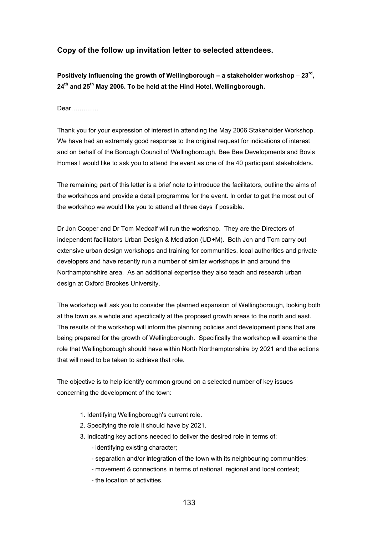### **Copy of the follow up invitation letter to selected attendees.**

**Positively influencing the growth of Wellingborough – a stakeholder workshop** – **23rd, 24th and 25th May 2006. To be held at the Hind Hotel, Wellingborough.**

Dear………….

Thank you for your expression of interest in attending the May 2006 Stakeholder Workshop. We have had an extremely good response to the original request for indications of interest and on behalf of the Borough Council of Wellingborough, Bee Bee Developments and Bovis Homes I would like to ask you to attend the event as one of the 40 participant stakeholders.

The remaining part of this letter is a brief note to introduce the facilitators, outline the aims of the workshops and provide a detail programme for the event. In order to get the most out of the workshop we would like you to attend all three days if possible.

Dr Jon Cooper and Dr Tom Medcalf will run the workshop. They are the Directors of independent facilitators Urban Design & Mediation (UD+M). Both Jon and Tom carry out extensive urban design workshops and training for communities, local authorities and private developers and have recently run a number of similar workshops in and around the Northamptonshire area. As an additional expertise they also teach and research urban design at Oxford Brookes University.

The workshop will ask you to consider the planned expansion of Wellingborough, looking both at the town as a whole and specifically at the proposed growth areas to the north and east. The results of the workshop will inform the planning policies and development plans that are being prepared for the growth of Wellingborough. Specifically the workshop will examine the role that Wellingborough should have within North Northamptonshire by 2021 and the actions that will need to be taken to achieve that role.

The objective is to help identify common ground on a selected number of key issues concerning the development of the town:

- 1. Identifying Wellingborough's current role.
- 2. Specifying the role it should have by 2021.
- 3. Indicating key actions needed to deliver the desired role in terms of:
	- identifying existing character;
	- separation and/or integration of the town with its neighbouring communities;
	- movement & connections in terms of national, regional and local context;
	- the location of activities.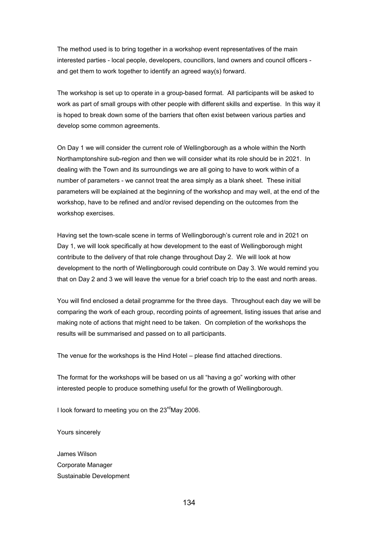The method used is to bring together in a workshop event representatives of the main interested parties - local people, developers, councillors, land owners and council officers and get them to work together to identify an agreed way(s) forward.

The workshop is set up to operate in a group-based format. All participants will be asked to work as part of small groups with other people with different skills and expertise. In this way it is hoped to break down some of the barriers that often exist between various parties and develop some common agreements.

On Day 1 we will consider the current role of Wellingborough as a whole within the North Northamptonshire sub-region and then we will consider what its role should be in 2021. In dealing with the Town and its surroundings we are all going to have to work within of a number of parameters - we cannot treat the area simply as a blank sheet. These initial parameters will be explained at the beginning of the workshop and may well, at the end of the workshop, have to be refined and and/or revised depending on the outcomes from the workshop exercises.

Having set the town-scale scene in terms of Wellingborough's current role and in 2021 on Day 1, we will look specifically at how development to the east of Wellingborough might contribute to the delivery of that role change throughout Day 2. We will look at how development to the north of Wellingborough could contribute on Day 3. We would remind you that on Day 2 and 3 we will leave the venue for a brief coach trip to the east and north areas.

You will find enclosed a detail programme for the three days. Throughout each day we will be comparing the work of each group, recording points of agreement, listing issues that arise and making note of actions that might need to be taken. On completion of the workshops the results will be summarised and passed on to all participants.

The venue for the workshops is the Hind Hotel – please find attached directions.

The format for the workshops will be based on us all "having a go" working with other interested people to produce something useful for the growth of Wellingborough.

I look forward to meeting you on the  $23^{\text{rd}}$ May 2006.

Yours sincerely

James Wilson Corporate Manager Sustainable Development